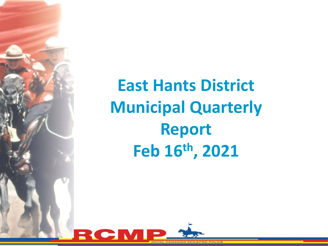

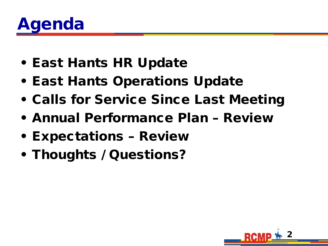

- East Hants HR Update
- East Hants Operations Update
- Calls for Service Since Last Meeting
- Annual Performance Plan Review
- Expectations Review
- Thoughts / Questions?

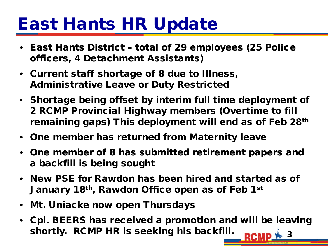# East Hants HR Update

- East Hants District total of 29 employees (25 Police officers, 4 Detachment Assistants)
- Current staff shortage of 8 due to Illness, Administrative Leave or Duty Restricted
- Shortage being offset by interim full time deployment of 2 RCMP Provincial Highway members (Overtime to fill remaining gaps) This deployment will end as of Feb 28<sup>th</sup>
- One member has returned from Maternity leave
- One member of 8 has submitted retirement papers and a backfill is being sought
- New PSE for Rawdon has been hired and started as of January 18th, Rawdon Office open as of Feb 1st
- Mt. Uniacke now open Thursdays
- 3 • Cpl. BEERS has received a promotion and will be leaving shortly. RCMP HR is seeking his backfill.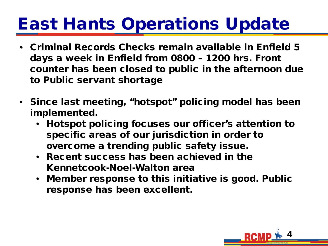# East Hants Operations Update

- Criminal Records Checks remain available in Enfield 5 days a week in Enfield from 0800 – 1200 hrs. Front counter has been closed to public in the afternoon due to Public servant shortage
- Since last meeting, "hotspot" policing model has been implemented.
	- Hotspot policing focuses our officer's attention to specific areas of our jurisdiction in order to overcome a trending public safety issue.
	- Recent success has been achieved in the Kennetcook-Noel-Walton area
	- Member response to this initiative is good. Public response has been excellent.

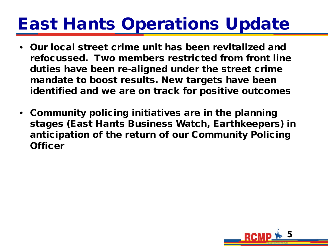## East Hants Operations Update

- Our local street crime unit has been revitalized and refocussed. Two members restricted from front line duties have been re-aligned under the street crime mandate to boost results. New targets have been identified and we are on track for positive outcomes
- Community policing initiatives are in the planning stages (East Hants Business Watch, Earthkeepers) in anticipation of the return of our Community Policing **Officer**

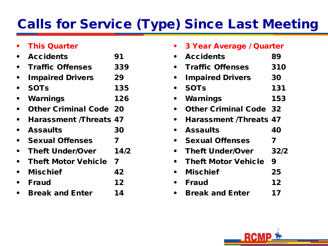### Calls for Service (Type) Since Last Meeting

|           | <b>This Quarter</b>           |      |
|-----------|-------------------------------|------|
|           | <b>Accidents</b>              | 91   |
|           | <b>Traffic Offenses</b>       | 339  |
|           | <b>Impaired Drivers</b>       | 29   |
|           | <b>SOTs</b>                   | 135  |
|           | Warnings                      | 126  |
|           | <b>Other Criminal Code 20</b> |      |
|           | <b>Harassment /Threats 47</b> |      |
|           | <b>Assaults</b>               | 30   |
|           | <b>Sexual Offenses</b>        | 7    |
|           | <b>Theft Under/Over</b>       | 14/2 |
| $\bullet$ | <b>Theft Motor Vehicle 7</b>  |      |
|           | <b>Mischief</b>               | 42   |
|           | <b>Fraud</b>                  | 12   |
|           | <b>Break and Enter</b>        | 14   |

| 3 Year Average / Quarter      |      |  |
|-------------------------------|------|--|
| <b>Accidents</b>              | 89   |  |
| <b>Traffic Offenses</b>       | 310  |  |
| <b>Impaired Drivers</b>       | 30   |  |
| <b>SOTs</b>                   | 131  |  |
| Warnings                      | 153  |  |
| <b>Other Criminal Code 32</b> |      |  |
| <b>Harassment /Threats 47</b> |      |  |
| <b>Assaults</b>               | 40   |  |
| <b>Sexual Offenses</b>        | 7    |  |
| <b>Theft Under/Over</b>       | 32/2 |  |
| <b>Theft Motor Vehicle</b>    | 9    |  |
| <b>Mischief</b>               | 25   |  |
| <b>Fraud</b>                  | 12   |  |
| <b>Break and Enter</b>        | 17   |  |

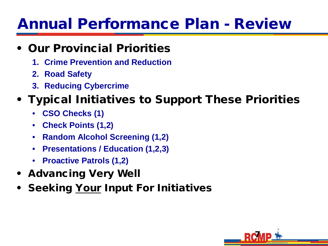### Annual Performance Plan - Review

#### • Our Provincial Priorities

- **1. Crime Prevention and Reduction**
- **2. Road Safety**
- **3. Reducing Cybercrime**

### • Typical Initiatives to Support These Priorities

- **CSO Checks (1)**
- **Check Points (1,2)**
- **Random Alcohol Screening (1,2)**
- **Presentations / Education (1,2,3)**
- **Proactive Patrols (1,2)**
- Advancing Very Well
- **Seeking Your Input For Initiatives**

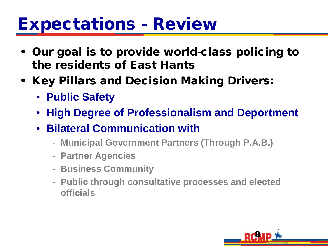### Expectations - Review

- Our goal is to provide world-class policing to the residents of East Hants
- Key Pillars and Decision Making Drivers:
	- **Public Safety**
	- **High Degree of Professionalism and Deportment**
	- **Bilateral Communication with** 
		- **Municipal Government Partners (Through P.A.B.)**
		- **Partner Agencies**
		- **Business Community**
		- **Public through consultative processes and elected officials**